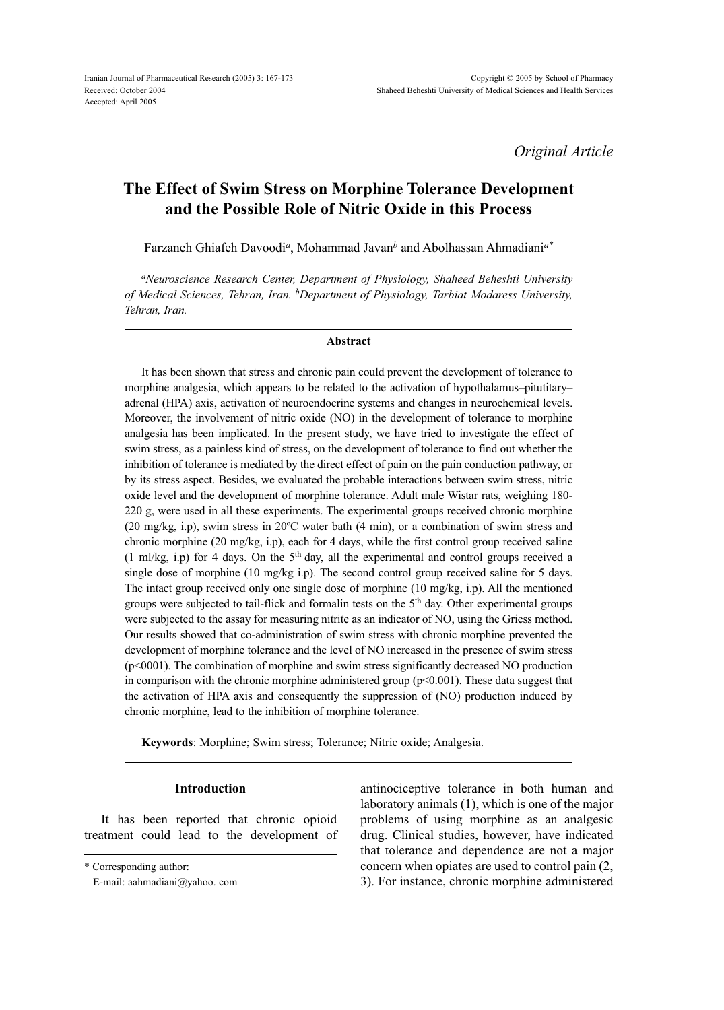*Original Article*

# **The Effect of Swim Stress on Morphine Tolerance Development and the Possible Role of Nitric Oxide in this Process**

Farzaneh Ghiafeh Davoodi*a*, Mohammad Javan*b* and Abolhassan Ahmadiani*a\**

*aNeuroscience Research Center, Department of Physiology, Shaheed Beheshti University of Medical Sciences, Tehran, Iran. bDepartment of Physiology, Tarbiat Modaress University, Tehran, Iran.*

#### **Abstract**

It has been shown that stress and chronic pain could prevent the development of tolerance to morphine analgesia, which appears to be related to the activation of hypothalamus–pitutitary– adrenal (HPA) axis, activation of neuroendocrine systems and changes in neurochemical levels. Moreover, the involvement of nitric oxide (NO) in the development of tolerance to morphine analgesia has been implicated. In the present study, we have tried to investigate the effect of swim stress, as a painless kind of stress, on the development of tolerance to find out whether the inhibition of tolerance is mediated by the direct effect of pain on the pain conduction pathway, or by its stress aspect. Besides, we evaluated the probable interactions between swim stress, nitric oxide level and the development of morphine tolerance. Adult male Wistar rats, weighing 180- 220 g, were used in all these experiments. The experimental groups received chronic morphine (20 mg/kg, i.p), swim stress in 20ºC water bath (4 min), or a combination of swim stress and chronic morphine (20 mg/kg, i.p), each for 4 days, while the first control group received saline (1 ml/kg, i.p) for 4 days. On the  $5<sup>th</sup>$  day, all the experimental and control groups received a single dose of morphine (10 mg/kg i.p). The second control group received saline for 5 days. The intact group received only one single dose of morphine (10 mg/kg, i.p). All the mentioned groups were subjected to tail-flick and formalin tests on the 5th day. Other experimental groups were subjected to the assay for measuring nitrite as an indicator of NO, using the Griess method. Our results showed that co-administration of swim stress with chronic morphine prevented the development of morphine tolerance and the level of NO increased in the presence of swim stress (p<0001). The combination of morphine and swim stress significantly decreased NO production in comparison with the chronic morphine administered group  $(p<0.001)$ . These data suggest that the activation of HPA axis and consequently the suppression of (NO) production induced by chronic morphine, lead to the inhibition of morphine tolerance.

**Keywords**: Morphine; Swim stress; Tolerance; Nitric oxide; Analgesia.

# **Introduction**

It has been reported that chronic opioid treatment could lead to the development of

antinociceptive tolerance in both human and laboratory animals (1), which is one of the major problems of using morphine as an analgesic drug. Clinical studies, however, have indicated that tolerance and dependence are not a major concern when opiates are used to control pain (2, 3). For instance, chronic morphine administered

<sup>\*</sup> Corresponding author:

E-mail: aahmadiani@yahoo. com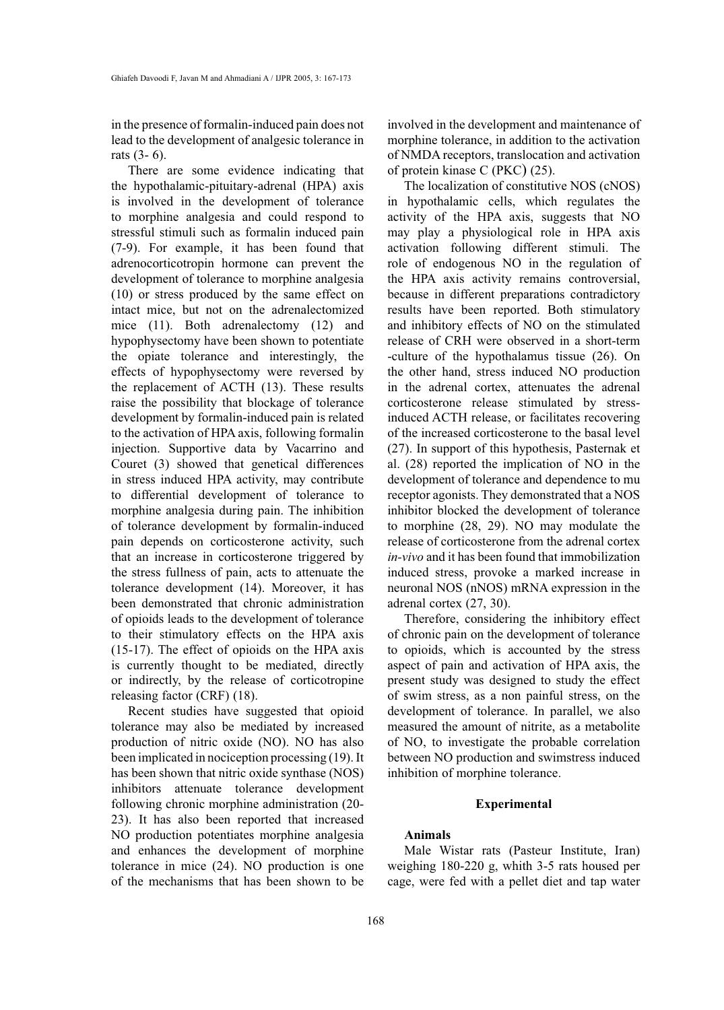in the presence of formalin-induced pain does not lead to the development of analgesic tolerance in rats (3- 6).

There are some evidence indicating that the hypothalamic-pituitary-adrenal (HPA) axis is involved in the development of tolerance to morphine analgesia and could respond to stressful stimuli such as formalin induced pain (7-9). For example, it has been found that adrenocorticotropin hormone can prevent the development of tolerance to morphine analgesia (10) or stress produced by the same effect on intact mice, but not on the adrenalectomized mice (11). Both adrenalectomy (12) and hypophysectomy have been shown to potentiate the opiate tolerance and interestingly, the effects of hypophysectomy were reversed by the replacement of ACTH (13). These results raise the possibility that blockage of tolerance development by formalin-induced pain is related to the activation of HPA axis, following formalin injection. Supportive data by Vacarrino and Couret (3) showed that genetical differences in stress induced HPA activity, may contribute to differential development of tolerance to morphine analgesia during pain. The inhibition of tolerance development by formalin-induced pain depends on corticosterone activity, such that an increase in corticosterone triggered by the stress fullness of pain, acts to attenuate the tolerance development (14). Moreover, it has been demonstrated that chronic administration of opioids leads to the development of tolerance to their stimulatory effects on the HPA axis (15-17). The effect of opioids on the HPA axis is currently thought to be mediated, directly or indirectly, by the release of corticotropine releasing factor (CRF) (18).

Recent studies have suggested that opioid tolerance may also be mediated by increased production of nitric oxide (NO). NO has also been implicated in nociception processing (19). It has been shown that nitric oxide synthase (NOS) inhibitors attenuate tolerance development following chronic morphine administration (20- 23). It has also been reported that increased NO production potentiates morphine analgesia and enhances the development of morphine tolerance in mice (24). NO production is one of the mechanisms that has been shown to be

involved in the development and maintenance of morphine tolerance, in addition to the activation of NMDA receptors, translocation and activation of protein kinase C (PKC) (25).

The localization of constitutive NOS (cNOS) in hypothalamic cells, which regulates the activity of the HPA axis, suggests that NO may play a physiological role in HPA axis activation following different stimuli. The role of endogenous NO in the regulation of the HPA axis activity remains controversial, because in different preparations contradictory results have been reported. Both stimulatory and inhibitory effects of NO on the stimulated release of CRH were observed in a short-term -culture of the hypothalamus tissue (26). On the other hand, stress induced NO production in the adrenal cortex, attenuates the adrenal corticosterone release stimulated by stressinduced ACTH release, or facilitates recovering of the increased corticosterone to the basal level (27). In support of this hypothesis, Pasternak et al. (28) reported the implication of NO in the development of tolerance and dependence to mu receptor agonists. They demonstrated that a NOS inhibitor blocked the development of tolerance to morphine (28, 29). NO may modulate the release of corticosterone from the adrenal cortex *in-vivo* and it has been found that immobilization induced stress, provoke a marked increase in neuronal NOS (nNOS) mRNA expression in the adrenal cortex (27, 30).

Therefore, considering the inhibitory effect of chronic pain on the development of tolerance to opioids, which is accounted by the stress aspect of pain and activation of HPA axis, the present study was designed to study the effect of swim stress, as a non painful stress, on the development of tolerance. In parallel, we also measured the amount of nitrite, as a metabolite of NO, to investigate the probable correlation between NO production and swimstress induced inhibition of morphine tolerance.

# **Experimental**

# **Animals**

Male Wistar rats (Pasteur Institute, Iran) weighing 180-220 g, whith 3-5 rats housed per cage, were fed with a pellet diet and tap water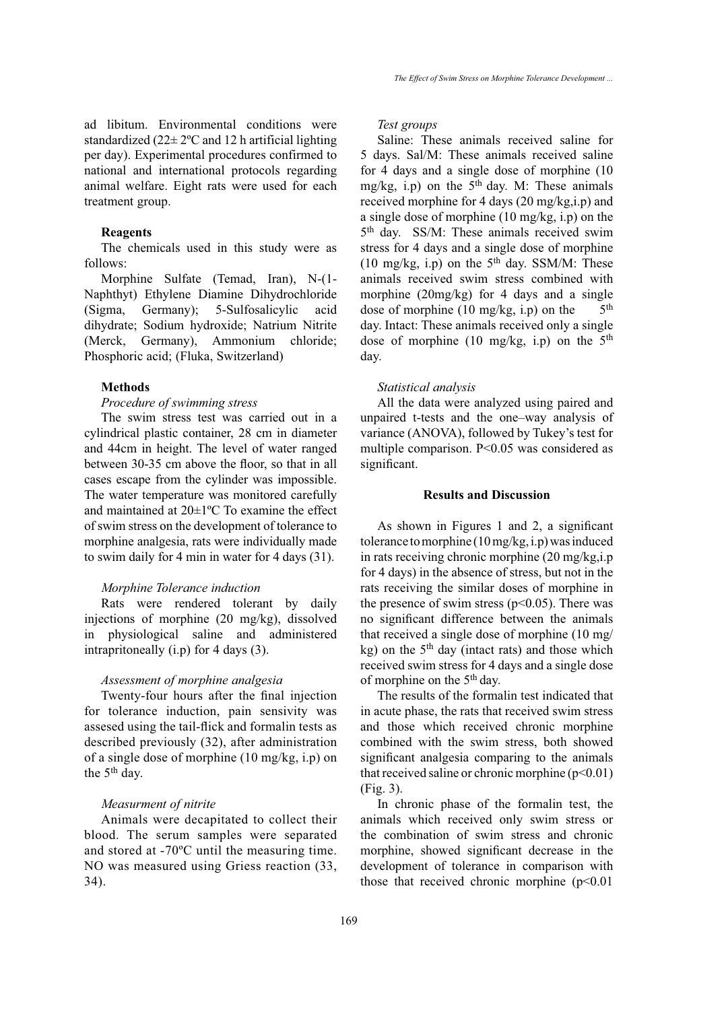ad libitum. Environmental conditions were standardized  $(22 \pm 2^{\circ}C \text{ and } 12 \text{ h artificial lighting}$ per day). Experimental procedures confirmed to national and international protocols regarding animal welfare. Eight rats were used for each treatment group.

## **Reagents**

The chemicals used in this study were as follows:

Morphine Sulfate (Temad, Iran), N-(1- Naphthyt) Ethylene Diamine Dihydrochloride (Sigma, Germany); 5-Sulfosalicylic acid dihydrate; Sodium hydroxide; Natrium Nitrite (Merck, Germany), Ammonium chloride; Phosphoric acid; (Fluka, Switzerland)

#### **Methods**

## *Procedure of swimming stress*

The swim stress test was carried out in a cylindrical plastic container, 28 cm in diameter and 44cm in height. The level of water ranged between 30-35 cm above the floor, so that in all cases escape from the cylinder was impossible. The water temperature was monitored carefully and maintained at 20±1ºC To examine the effect of swim stress on the development of tolerance to morphine analgesia, rats were individually made to swim daily for 4 min in water for 4 days (31).

## *Morphine Tolerance induction*

Rats were rendered tolerant by daily injections of morphine (20 mg/kg), dissolved in physiological saline and administered intrapritoneally (i.p) for 4 days (3).

# *Assessment of morphine analgesia*

Twenty-four hours after the final injection for tolerance induction, pain sensivity was assesed using the tail-flick and formalin tests as described previously (32), after administration of a single dose of morphine (10 mg/kg, i.p) on the 5<sup>th</sup> day.

## *Measurment of nitrite*

Animals were decapitated to collect their blood. The serum samples were separated and stored at -70ºC until the measuring time. NO was measured using Griess reaction (33, 34).

*Test groups*

Saline: These animals received saline for 5 days. Sal/M: These animals received saline for 4 days and a single dose of morphine (10 mg/kg, i.p) on the  $5<sup>th</sup>$  day. M: These animals received morphine for 4 days (20 mg/kg,i.p) and a single dose of morphine (10 mg/kg, i.p) on the 5<sup>th</sup> day. SS/M: These animals received swim stress for 4 days and a single dose of morphine (10 mg/kg, i.p) on the  $5<sup>th</sup>$  day. SSM/M: These animals received swim stress combined with morphine (20mg/kg) for 4 days and a single dose of morphine (10 mg/kg, i.p) on the  $5<sup>th</sup>$ day. Intact: These animals received only a single dose of morphine (10 mg/kg, i.p) on the  $5<sup>th</sup>$ day.

#### *Statistical analysis*

All the data were analyzed using paired and unpaired t-tests and the one–way analysis of variance (ANOVA), followed by Tukey's test for multiple comparison. P<0.05 was considered as significant.

# **Results and Discussion**

As shown in Figures 1 and 2, a significant tolerance to morphine (10 mg/kg, i.p) was induced in rats receiving chronic morphine (20 mg/kg,i.p for 4 days) in the absence of stress, but not in the rats receiving the similar doses of morphine in the presence of swim stress ( $p<0.05$ ). There was no significant difference between the animals that received a single dose of morphine (10 mg/ kg) on the  $5<sup>th</sup>$  day (intact rats) and those which received swim stress for 4 days and a single dose of morphine on the 5th day.

The results of the formalin test indicated that in acute phase, the rats that received swim stress and those which received chronic morphine combined with the swim stress, both showed significant analgesia comparing to the animals that received saline or chronic morphine  $(p<0.01)$ (Fig. 3).

In chronic phase of the formalin test, the animals which received only swim stress or the combination of swim stress and chronic morphine, showed significant decrease in the development of tolerance in comparison with those that received chronic morphine  $(p<0.01$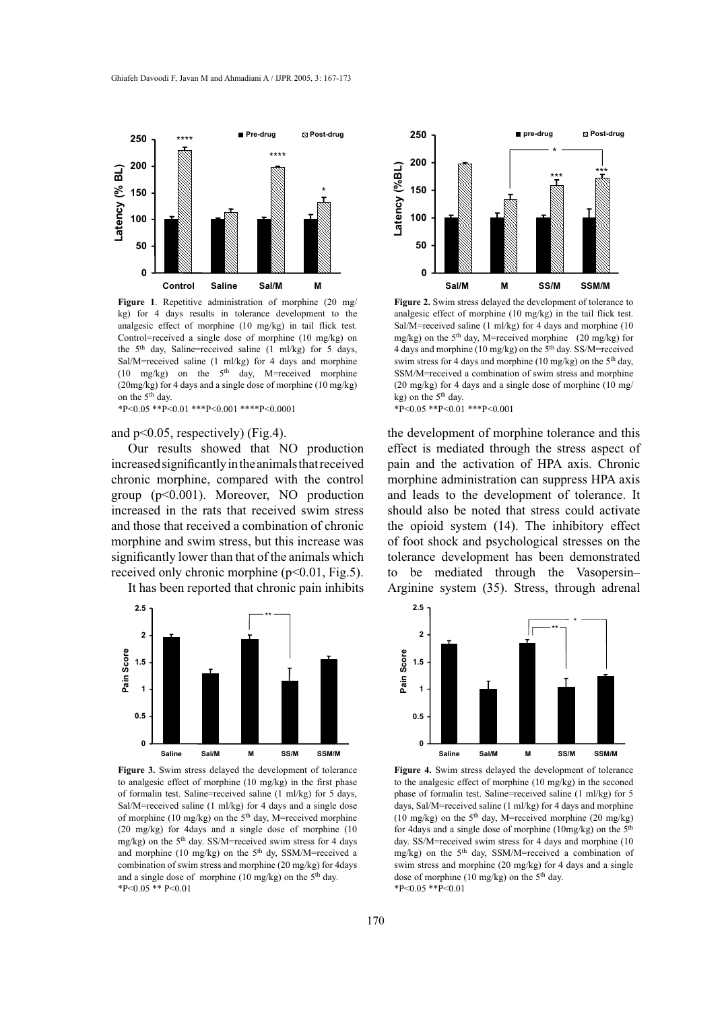

**Figure 1**. Repetitive administration of morphine (20 mg/ kg) for 4 days results in tolerance development to the analgesic effect of morphine (10 mg/kg) in tail flick test. Control=received a single dose of morphine (10 mg/kg) on the  $5<sup>th</sup>$  day, Saline=received saline (1 ml/kg) for 5 days, Sal/M=received saline (1 ml/kg) for 4 days and morphine (10 mg/kg) on the 5th day, M=received morphine (20mg/kg) for 4 days and a single dose of morphine (10 mg/kg) on the 5th day.

\*P<0.05 \*\*P<0.01 \*\*\*P<0.001 \*\*\*\*P<0.0001

#### and p<0.05, respectively) (Fig.4).

Our results showed that NO production increased significantly in the animals that received chronic morphine, compared with the control group (p<0.001). Moreover, NO production increased in the rats that received swim stress and those that received a combination of chronic morphine and swim stress, but this increase was significantly lower than that of the animals which received only chronic morphine (p<0.01, Fig.5).

It has been reported that chronic pain inhibits



**Figure 3.** Swim stress delayed the development of tolerance to analgesic effect of morphine (10 mg/kg) in the first phase of formalin test. Saline=received saline (1 ml/kg) for 5 days, Sal/M=received saline (1 ml/kg) for 4 days and a single dose of morphine (10 mg/kg) on the 5<sup>th</sup> day, M=received morphine (20 mg/kg) for 4days and a single dose of morphine (10 mg/kg) on the  $5<sup>th</sup>$  day. SS/M=received swim stress for 4 days and morphine (10 mg/kg) on the 5<sup>th</sup> dy, SSM/M=received a combination of swim stress and morphine (20 mg/kg) for 4days and a single dose of morphine (10 mg/kg) on the  $5<sup>th</sup>$  day. \*P<0.05 \*\* P<0.01



**Figure 2.** Swim stress delayed the development of tolerance to analgesic effect of morphine (10 mg/kg) in the tail flick test. Sal/M=received saline (1 ml/kg) for 4 days and morphine (10 mg/kg) on the 5<sup>th</sup> day, M=received morphine (20 mg/kg) for 4 days and morphine (10 mg/kg) on the  $5<sup>th</sup>$  day. SS/M=received swim stress for 4 days and morphine (10 mg/kg) on the 5<sup>th</sup> day, SSM/M=received a combination of swim stress and morphine (20 mg/kg) for 4 days and a single dose of morphine (10 mg/ kg) on the  $5<sup>th</sup>$  day.  $*P<0.05$   $*P<0.01$   $**P<0.001$ 

the development of morphine tolerance and this effect is mediated through the stress aspect of pain and the activation of HPA axis. Chronic morphine administration can suppress HPA axis and leads to the development of tolerance. It should also be noted that stress could activate the opioid system (14). The inhibitory effect of foot shock and psychological stresses on the tolerance development has been demonstrated to be mediated through the Vasopersin– Arginine system (35). Stress, through adrenal



**Figure 4.** Swim stress delayed the development of tolerance to the analgesic effect of morphine (10 mg/kg) in the seconed phase of formalin test. Saline=received saline (1 ml/kg) for 5 days, Sal/M=received saline (1 ml/kg) for 4 days and morphine (10 mg/kg) on the  $5<sup>th</sup>$  day, M=received morphine (20 mg/kg) for 4days and a single dose of morphine (10mg/kg) on the 5th day. SS/M=received swim stress for 4 days and morphine (10 mg/kg) on the  $5<sup>th</sup>$  day, SSM/M=received a combination of swim stress and morphine (20 mg/kg) for 4 days and a single dose of morphine (10 mg/kg) on the 5<sup>th</sup> day. \*P<0.05 \*\*P<0.01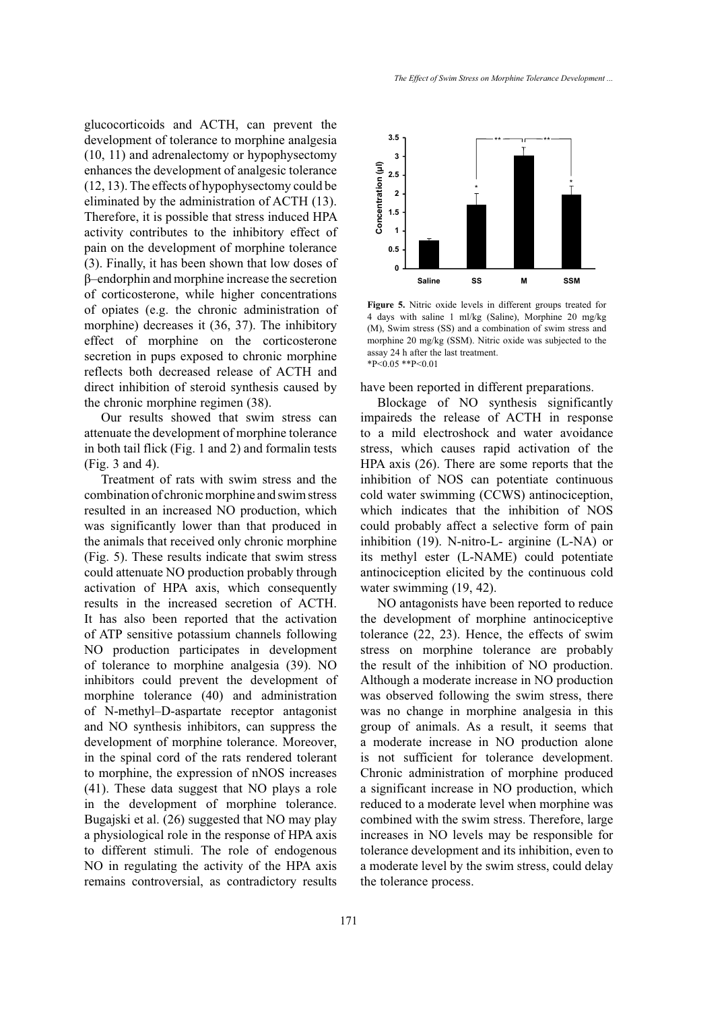glucocorticoids and ACTH, can prevent the development of tolerance to morphine analgesia (10, 11) and adrenalectomy or hypophysectomy enhances the development of analgesic tolerance (12, 13). The effects of hypophysectomy could be eliminated by the administration of ACTH (13). Therefore, it is possible that stress induced HPA activity contributes to the inhibitory effect of pain on the development of morphine tolerance (3). Finally, it has been shown that low doses of β–endorphin and morphine increase the secretion of corticosterone, while higher concentrations of opiates (e.g. the chronic administration of morphine) decreases it (36, 37). The inhibitory effect of morphine on the corticosterone secretion in pups exposed to chronic morphine reflects both decreased release of ACTH and direct inhibition of steroid synthesis caused by the chronic morphine regimen (38).

Our results showed that swim stress can attenuate the development of morphine tolerance in both tail flick (Fig. 1 and 2) and formalin tests (Fig. 3 and 4).

Treatment of rats with swim stress and the combination of chronic morphine and swim stress resulted in an increased NO production, which was significantly lower than that produced in the animals that received only chronic morphine (Fig. 5). These results indicate that swim stress could attenuate NO production probably through activation of HPA axis, which consequently results in the increased secretion of ACTH. It has also been reported that the activation of ATP sensitive potassium channels following NO production participates in development of tolerance to morphine analgesia (39). NO inhibitors could prevent the development of morphine tolerance (40) and administration of N-methyl–D-aspartate receptor antagonist and NO synthesis inhibitors, can suppress the development of morphine tolerance. Moreover, in the spinal cord of the rats rendered tolerant to morphine, the expression of nNOS increases (41). These data suggest that NO plays a role in the development of morphine tolerance. Bugajski et al. (26) suggested that NO may play a physiological role in the response of HPA axis to different stimuli. The role of endogenous NO in regulating the activity of the HPA axis remains controversial, as contradictory results



**Figure 5.** Nitric oxide levels in different groups treated for 4 days with saline 1 ml/kg (Saline), Morphine 20 mg/kg (M), Swim stress (SS) and a combination of swim stress and morphine 20 mg/kg (SSM). Nitric oxide was subjected to the assay 24 h after the last treatment.  $*P<0.05$   $*P<0.01$ 

have been reported in different preparations.

Blockage of NO synthesis significantly impaireds the release of ACTH in response to a mild electroshock and water avoidance stress, which causes rapid activation of the HPA axis (26). There are some reports that the inhibition of NOS can potentiate continuous cold water swimming (CCWS) antinociception, which indicates that the inhibition of NOS could probably affect a selective form of pain inhibition (19). N-nitro-L- arginine (L-NA) or its methyl ester (L-NAME) could potentiate antinociception elicited by the continuous cold water swimming (19, 42).

NO antagonists have been reported to reduce the development of morphine antinociceptive tolerance (22, 23). Hence, the effects of swim stress on morphine tolerance are probably the result of the inhibition of NO production. Although a moderate increase in NO production was observed following the swim stress, there was no change in morphine analgesia in this group of animals. As a result, it seems that a moderate increase in NO production alone is not sufficient for tolerance development. Chronic administration of morphine produced a significant increase in NO production, which reduced to a moderate level when morphine was combined with the swim stress. Therefore, large increases in NO levels may be responsible for tolerance development and its inhibition, even to a moderate level by the swim stress, could delay the tolerance process.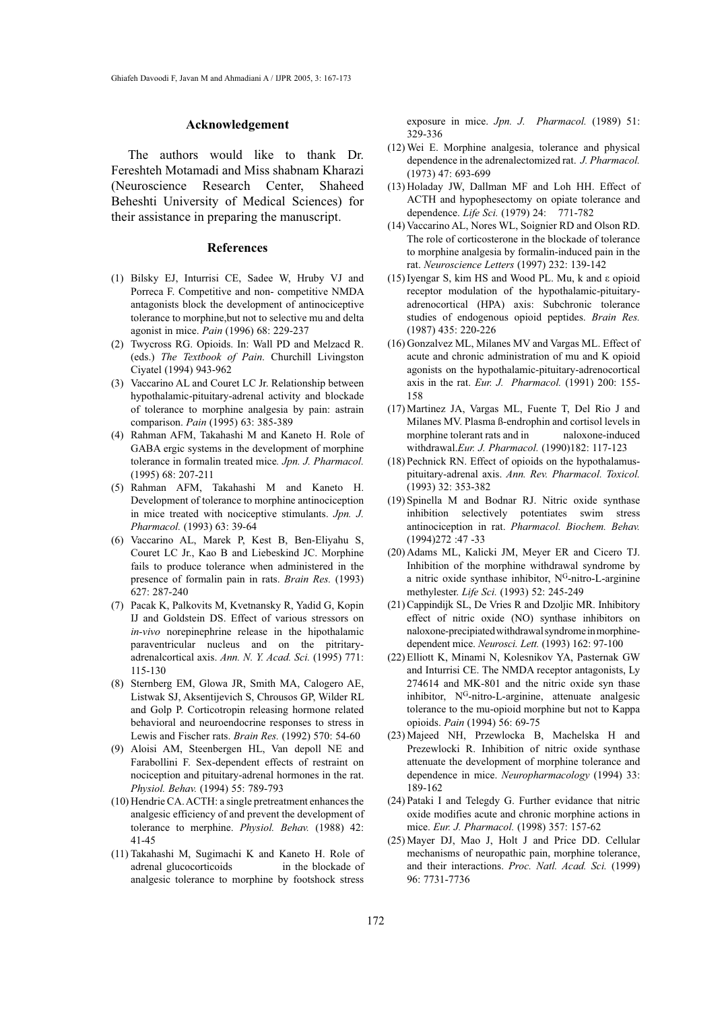#### **Acknowledgement**

The authors would like to thank Dr. Fereshteh Motamadi and Miss shabnam Kharazi (Neuroscience Research Center, Shaheed Beheshti University of Medical Sciences) for their assistance in preparing the manuscript.

#### **References**

- Bilsky EJ, Inturrisi CE, Sadee W, Hruby VJ and (1) Porreca F. Competitive and non- competitive NMDA antagonists block the development of antinociceptive tolerance to morphine,but not to selective mu and delta agonist in mice. *Pain* (1996) 68: 229-237
- Twycross RG. Opioids. In: Wall PD and Melzacd R. (2) (eds.) *The Textbook of Pain*. Churchill Livingston Ciyatel (1994) 943-962
- (3) Vaccarino AL and Couret LC Jr. Relationship between hypothalamic-pituitary-adrenal activity and blockade of tolerance to morphine analgesia by pain: astrain comparison. *Pain* (1995) 63: 385-389
- (4) Rahman AFM, Takahashi M and Kaneto H. Role of GABA ergic systems in the development of morphine tolerance in formalin treated mice*. Jpn. J. Pharmacol.* (1995) 68: 207-211
- Rahman AFM, Takahashi M and Kaneto H. (5) Development of tolerance to morphine antinociception in mice treated with nociceptive stimulants. *Jpn. J. Pharmacol.* (1993) 63: 39-64
- (6) Vaccarino AL, Marek P, Kest B, Ben-Eliyahu S, Couret LC Jr., Kao B and Liebeskind JC. Morphine fails to produce tolerance when administered in the presence of formalin pain in rats. *Brain Res.* (1993) 627: 287-240
- Pacak K, Palkovits M, Kvetnansky R, Yadid G, Kopin (7) IJ and Goldstein DS. Effect of various stressors on *in-vivo* norepinephrine release in the hipothalamic paraventricular nucleus and on the pitritaryadrenalcortical axis. *Ann. N. Y. Acad. Sci.* (1995) 771: 115-130
- (8) Sternberg EM, Glowa JR, Smith MA, Calogero AE, Listwak SJ, Aksentijevich S, Chrousos GP, Wilder RL and Golp P. Corticotropin releasing hormone related behavioral and neuroendocrine responses to stress in Lewis and Fischer rats. *Brain Res.* (1992) 570: 54-60
- (9) Aloisi AM, Steenbergen HL, Van depoll NE and Farabollini F. Sex-dependent effects of restraint on nociception and pituitary-adrenal hormones in the rat. *Physiol. Behav.* (1994) 55: 789-793
- (10) Hendrie CA. ACTH: a single pretreatment enhances the analgesic efficiency of and prevent the development of tolerance to merphine. *Physiol. Behav.* (1988) 42: 41-45
- (11) Takahashi M, Sugimachi K and Kaneto H. Role of adrenal glucocorticoids in the blockade of analgesic tolerance to morphine by footshock stress

exposure in mice. *Jpn. J. Pharmacol.* (1989) 51: 329-336

- Wei E. Morphine analgesia, tolerance and physical (12) dependence in the adrenalectomized rat. *J. Pharmacol.* (1973) 47: 693-699
- (13) Holaday JW, Dallman MF and Loh HH. Effect of ACTH and hypophesectomy on opiate tolerance and dependence. *Life Sci.* (1979) 24: 771-782
- (14) Vaccarino AL, Nores WL, Soignier RD and Olson RD. The role of corticosterone in the blockade of tolerance to morphine analgesia by formalin-induced pain in the rat. *Neuroscience Letters* (1997) 232: 139-142
- Iyengar S, kim HS and Wood PL. Mu, k and ε opioid (15) receptor modulation of the hypothalamic-pituitaryadrenocortical (HPA) axis: Subchronic tolerance studies of endogenous opioid peptides. *Brain Res.* (1987) 435: 220-226
- (16) Gonzalvez ML, Milanes MV and Vargas ML. Effect of acute and chronic administration of mu and K opioid agonists on the hypothalamic-pituitary-adrenocortical axis in the rat. *Eur. J. Pharmacol.* (1991) 200: 155- 158
- (17) Martinez JA, Vargas ML, Fuente T, Del Rio J and Milanes MV. Plasma ß-endrophin and cortisol levels in morphine tolerant rats and in naloxone-induced withdrawal.*Eur. J. Pharmacol.* (1990)182: 117-123
- (18) Pechnick RN. Effect of opioids on the hypothalamuspituitary-adrenal axis. *Ann. Rev. Pharmacol. Toxicol.* (1993) 32: 353-382
- (19) Spinella M and Bodnar RJ. Nitric oxide synthase inhibition selectively potentiates swim stress antinociception in rat. *Pharmacol. Biochem. Behav.*  (1994)272 :47 -33
- (20) Adams ML, Kalicki JM, Meyer ER and Cicero TJ. Inhibition of the morphine withdrawal syndrome by a nitric oxide synthase inhibitor, NG-nitro-L-arginine methylester. *Life Sci.* (1993) 52: 245-249
- (21) Cappindijk SL, De Vries R and Dzoljic MR. Inhibitory effect of nitric oxide (NO) synthase inhibitors on naloxone-precipiated withdrawal syndrome in morphinedependent mice. *Neurosci. Lett.* (1993) 162: 97-100
- (22) Elliott K, Minami N, Kolesnikov YA, Pasternak GW and Inturrisi CE. The NMDA receptor antagonists, Ly 274614 and MK-801 and the nitric oxide syn thase inhibitor, N<sup>G</sup>-nitro-L-arginine, attenuate analgesic tolerance to the mu-opioid morphine but not to Kappa opioids. *Pain* (1994) 56: 69-75
- (23) Majeed NH, Przewlocka B, Machelska H and Prezewlocki R. Inhibition of nitric oxide synthase attenuate the development of morphine tolerance and dependence in mice. *Neuropharmacology* (1994) 33: 189-162
- Pataki I and Telegdy G. Further evidance that nitric (24) oxide modifies acute and chronic morphine actions in mice. *Eur. J. Pharmacol.* (1998) 357: 157-62
- (25) Mayer DJ, Mao J, Holt J and Price DD. Cellular mechanisms of neuropathic pain, morphine tolerance, and their interactions. *Proc. Natl. Acad. Sci.* (1999) 96: 7731-7736